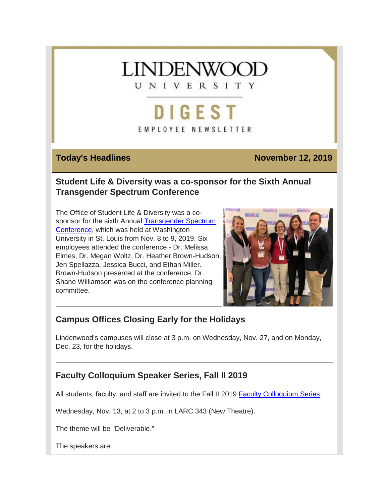# **LINDENWOC** UNIVERSITY

**DIGEST** EMPLOYEE NEWSLETTER

### **Today's Headlines November 12, 2019**

#### **Student Life & Diversity was a co-sponsor for the Sixth Annual Transgender Spectrum Conference**

The Office of Student Life & Diversity was a cosponsor for the sixth Annual [Transgender Spectrum](https://hes32-ctp.trendmicro.com/wis/clicktime/v1/query?url=https%3a%2f%2fcustapp.marketvolt.com%2flink%2fV3yBoCbLb2%3fCM%3d1419417563%26X%3d70525052&umid=d50988e5-a1cb-49e1-8ae5-849e6f413c2e&auth=bc7ac43e330fa629f0cfb11786c85e83c10d06b8-1c81f3cf84d0fe2bc186fc9107c2398e26ddd0d5)  [Conference,](https://hes32-ctp.trendmicro.com/wis/clicktime/v1/query?url=https%3a%2f%2fcustapp.marketvolt.com%2flink%2fV3yBoCbLb2%3fCM%3d1419417563%26X%3d70525052&umid=d50988e5-a1cb-49e1-8ae5-849e6f413c2e&auth=bc7ac43e330fa629f0cfb11786c85e83c10d06b8-1c81f3cf84d0fe2bc186fc9107c2398e26ddd0d5) which was held at Washington University in St. Louis from Nov. 8 to 9, 2019. Six employees attended the conference - Dr. Melissa Elmes, Dr. Megan Woltz, Dr. Heather Brown-Hudson, Jen Spellazza, Jessica Bucci, and Ethan Miller. Brown-Hudson presented at the conference. Dr. Shane Williamson was on the conference planning committee.



## **Campus Offices Closing Early for the Holidays**

Lindenwood's campuses will close at 3 p.m. on Wednesday, Nov. 27, and on Monday, Dec. 23, for the holidays.

## **Faculty Colloquium Speaker Series, Fall II 2019**

All students, faculty, and staff are invited to the Fall II 2019 [Faculty Colloquium Series.](https://hes32-ctp.trendmicro.com/wis/clicktime/v1/query?url=https%3a%2f%2fcustapp.marketvolt.com%2flink%2ffsnaugifyk%3fCM%3d1419417563%26X%3d70525052&umid=d50988e5-a1cb-49e1-8ae5-849e6f413c2e&auth=bc7ac43e330fa629f0cfb11786c85e83c10d06b8-cdbc99e15ed004022e4dd36761f215d96710ae11)

Wednesday, Nov. 13, at 2 to 3 p.m. in LARC 343 (New Theatre).

The theme will be "Deliverable."

The speakers are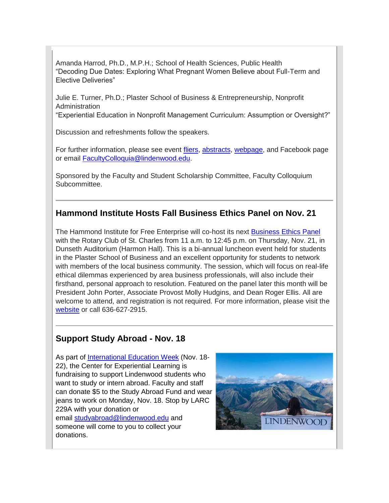Amanda Harrod, Ph.D., M.P.H.; School of Health Sciences, Public Health "Decoding Due Dates: Exploring What Pregnant Women Believe about Full-Term and Elective Deliveries"

Julie E. Turner, Ph.D.; Plaster School of Business & Entrepreneurship, Nonprofit Administration

"Experiential Education in Nonprofit Management Curriculum: Assumption or Oversight?"

Discussion and refreshments follow the speakers.

For further information, please see event [fliers,](https://hes32-ctp.trendmicro.com/wis/clicktime/v1/query?url=https%3a%2f%2fcustapp.marketvolt.com%2flink%2fKa6MoDVFFQ%3fCM%3d1419417563%26X%3d70525052&umid=d50988e5-a1cb-49e1-8ae5-849e6f413c2e&auth=bc7ac43e330fa629f0cfb11786c85e83c10d06b8-3a0ec74fab539c81fc9ac8c9b161af627d09bced) [abstracts,](https://hes32-ctp.trendmicro.com/wis/clicktime/v1/query?url=https%3a%2f%2fcustapp.marketvolt.com%2flink%2fSHfLAPe1kF%3fCM%3d1419417563%26X%3d70525052&umid=d50988e5-a1cb-49e1-8ae5-849e6f413c2e&auth=bc7ac43e330fa629f0cfb11786c85e83c10d06b8-f5498dcf3cc57840655495947b54d3f699a80b3a) [webpage,](https://hes32-ctp.trendmicro.com/wis/clicktime/v1/query?url=https%3a%2f%2fcustapp.marketvolt.com%2flink%2ffsnaugifyk%3fCM%3d1419417563%26X%3d70525052&umid=d50988e5-a1cb-49e1-8ae5-849e6f413c2e&auth=bc7ac43e330fa629f0cfb11786c85e83c10d06b8-cdbc99e15ed004022e4dd36761f215d96710ae11) and Facebook page or email [FacultyColloquia@lindenwood.edu.](mailto:FacultyColloquia@lindenwood.edu)

Sponsored by the Faculty and Student Scholarship Committee, Faculty Colloquium Subcommittee.

#### **Hammond Institute Hosts Fall Business Ethics Panel on Nov. 21**

The Hammond Institute for Free Enterprise will co-host its next [Business Ethics Panel](https://hes32-ctp.trendmicro.com/wis/clicktime/v1/query?url=https%3a%2f%2fcustapp.marketvolt.com%2flink%2fftFQ9qcWpe%3fCM%3d1419417563%26X%3d70525052&umid=d50988e5-a1cb-49e1-8ae5-849e6f413c2e&auth=bc7ac43e330fa629f0cfb11786c85e83c10d06b8-8b3f86fa1ed7f6cb172a38c848d8e05c987f4a6e) with the Rotary Club of St. Charles from 11 a.m. to 12:45 p.m. on Thursday, Nov. 21, in Dunseth Auditorium (Harmon Hall). This is a bi-annual luncheon event held for students in the Plaster School of Business and an excellent opportunity for students to network with members of the local business community. The session, which will focus on real-life ethical dilemmas experienced by area business professionals, will also include their firsthand, personal approach to resolution. Featured on the panel later this month will be President John Porter, Associate Provost Molly Hudgins, and Dean Roger Ellis. All are welcome to attend, and registration is not required. For more information, please visit the [website](https://hes32-ctp.trendmicro.com/wis/clicktime/v1/query?url=https%3a%2f%2fcustapp.marketvolt.com%2flink%2fAqHWlHdPWo%3fCM%3d1419417563%26X%3d70525052&umid=d50988e5-a1cb-49e1-8ae5-849e6f413c2e&auth=bc7ac43e330fa629f0cfb11786c85e83c10d06b8-9bcfab36479d284b4aee9727cf95c11e54ce9abc) or call 636-627-2915.

### **Support Study Abroad - Nov. 18**

donations.

As part of [International Education Week](https://hes32-ctp.trendmicro.com/wis/clicktime/v1/query?url=https%3a%2f%2fcustapp.marketvolt.com%2flink%2fSlAm3NwwWb%3fCM%3d1419417563%26X%3d70525052&umid=d50988e5-a1cb-49e1-8ae5-849e6f413c2e&auth=bc7ac43e330fa629f0cfb11786c85e83c10d06b8-38e49dbfcd3b473f5f7fc417acf8fe6e26c392af) (Nov. 18-22), the Center for Experiential Learning is fundraising to support Lindenwood students who want to study or intern abroad. Faculty and staff can donate \$5 to the Study Abroad Fund and wear jeans to work on Monday, Nov. 18. Stop by LARC 229A with your donation or email [studyabroad@lindenwood.edu](mailto:studyabroad@lindenwood.edu) and someone will come to you to collect your

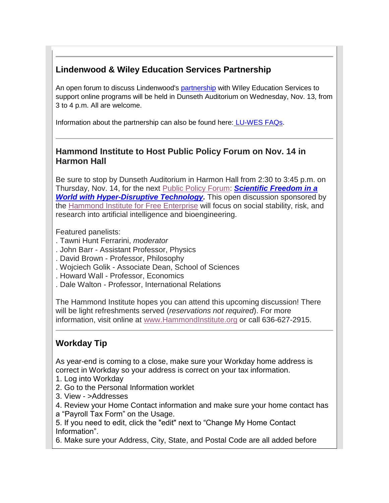## **Lindenwood & Wiley Education Services Partnership**

An open forum to discuss Lindenwood's [partnership](https://hes32-ctp.trendmicro.com/wis/clicktime/v1/query?url=https%3a%2f%2fcustapp.marketvolt.com%2flink%2fwwf3EfqYua%3fCM%3d1419417563%26X%3d70525052&umid=d50988e5-a1cb-49e1-8ae5-849e6f413c2e&auth=bc7ac43e330fa629f0cfb11786c85e83c10d06b8-85f490c180018a827152bb62eb914ec6e50bad63) with WIIey Education Services to support online programs will be held in Dunseth Auditorium on Wednesday, Nov. 13, from 3 to 4 p.m. All are welcome.

Information about the partnership can also be found here: [LU-WES FAQs.](https://hes32-ctp.trendmicro.com/wis/clicktime/v1/query?url=https%3a%2f%2fcustapp.marketvolt.com%2flink%2fpxkFlf9PF4%3fCM%3d1419417563%26X%3d70525052&umid=d50988e5-a1cb-49e1-8ae5-849e6f413c2e&auth=bc7ac43e330fa629f0cfb11786c85e83c10d06b8-e3454d349ca9a26a706df62a2356ff13e8448b49)

#### **Hammond Institute to Host Public Policy Forum on Nov. 14 in Harmon Hall**

Be sure to stop by Dunseth Auditorium in Harmon Hall from 2:30 to 3:45 p.m. on Thursday, Nov. 14, for the next Public Policy [Forum:](https://hes32-ctp.trendmicro.com/wis/clicktime/v1/query?url=https%3a%2f%2fcustapp.marketvolt.com%2flink%2ftxQyq6LxmK%3fCM%3d1419417563%26X%3d70525052&umid=d50988e5-a1cb-49e1-8ae5-849e6f413c2e&auth=bc7ac43e330fa629f0cfb11786c85e83c10d06b8-2e7acbeef3b327acc6ae1bef10aff6c122ad07d1) *[Scientific Freedom in a](https://hes32-ctp.trendmicro.com/wis/clicktime/v1/query?url=https%3a%2f%2fcustapp.marketvolt.com%2flink%2feybVbTckFN%3fCM%3d1419417563%26X%3d70525052&umid=d50988e5-a1cb-49e1-8ae5-849e6f413c2e&auth=bc7ac43e330fa629f0cfb11786c85e83c10d06b8-e30d52b860c3592a0fc07e6d100a74784ef62589)  [World with Hyper-Disruptive Technology.](https://hes32-ctp.trendmicro.com/wis/clicktime/v1/query?url=https%3a%2f%2fcustapp.marketvolt.com%2flink%2feybVbTckFN%3fCM%3d1419417563%26X%3d70525052&umid=d50988e5-a1cb-49e1-8ae5-849e6f413c2e&auth=bc7ac43e330fa629f0cfb11786c85e83c10d06b8-e30d52b860c3592a0fc07e6d100a74784ef62589)* This open discussion sponsored by the [Hammond](https://hes32-ctp.trendmicro.com/wis/clicktime/v1/query?url=https%3a%2f%2fcustapp.marketvolt.com%2flink%2fAqHWlHdPWo%3fCM%3d1419417563%26X%3d70525052&umid=d50988e5-a1cb-49e1-8ae5-849e6f413c2e&auth=bc7ac43e330fa629f0cfb11786c85e83c10d06b8-9bcfab36479d284b4aee9727cf95c11e54ce9abc) Institute for Free Enterprise will focus on social stability, risk, and research into artificial intelligence and bioengineering.

Featured panelists:

- . Tawni Hunt Ferrarini, *moderator*
- . John Barr Assistant Professor, Physics
- . David Brown Professor, Philosophy
- . Wojciech Golik Associate Dean, School of Sciences
- . Howard Wall Professor, Economics
- . Dale Walton Professor, International Relations

The Hammond Institute hopes you can attend this upcoming discussion! There will be light refreshments served (*reservations not required*). For more information, visit online at [www.HammondInstitute.org](https://hes32-ctp.trendmicro.com/wis/clicktime/v1/query?url=https%3a%2f%2fcustapp.marketvolt.com%2flink%2fE9UatiaLoF%3fCM%3d1419417563%26X%3d70525052&umid=d50988e5-a1cb-49e1-8ae5-849e6f413c2e&auth=bc7ac43e330fa629f0cfb11786c85e83c10d06b8-6065e15da30fc27e9e930f2e0aff498866a73d40) or call 636-627-2915.

## **Workday Tip**

As year-end is coming to a close, make sure your Workday home address is correct in Workday so your address is correct on your tax information.

- 1. Log into Workday
- 2. Go to the Personal Information worklet
- 3. View >Addresses
- 4. Review your Home Contact information and make sure your home contact has
- a "Payroll Tax Form" on the Usage.

5. If you need to edit, click the "edit" next to "Change My Home Contact Information".

6. Make sure your Address, City, State, and Postal Code are all added before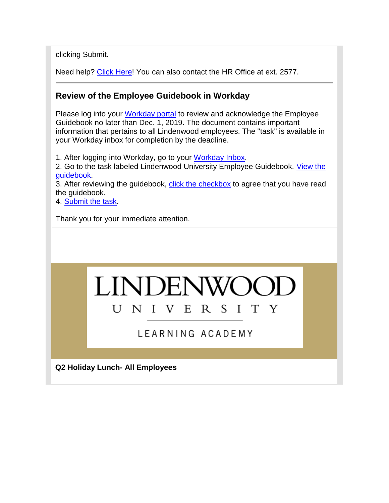clicking Submit.

Need help? [Click Here!](https://hes32-ctp.trendmicro.com/wis/clicktime/v1/query?url=https%3a%2f%2fcustapp.marketvolt.com%2flink%2fNPBNK2CWI3%3fCM%3d1419417563%26X%3d70525052&umid=d50988e5-a1cb-49e1-8ae5-849e6f413c2e&auth=bc7ac43e330fa629f0cfb11786c85e83c10d06b8-e2121225c5c3fbc4a99c9c75169d663d96ea9d53) You can also contact the HR Office at ext. 2577.

#### **Review of the Employee Guidebook in Workday**

Please log into your [Workday portal](https://hes32-ctp.trendmicro.com/wis/clicktime/v1/query?url=https%3a%2f%2fcustapp.marketvolt.com%2flink%2ftrv5ihk9EQ%3fCM%3d1419417563%26X%3d70525052&umid=d50988e5-a1cb-49e1-8ae5-849e6f413c2e&auth=bc7ac43e330fa629f0cfb11786c85e83c10d06b8-d251af95e866b881e8651103e3a38b7bb12ef493) to review and acknowledge the Employee Guidebook no later than Dec. 1, 2019. The document contains important information that pertains to all Lindenwood employees. The "task" is available in your Workday inbox for completion by the deadline.

1. After logging into Workday, go to your [Workday Inbox.](https://hes32-ctp.trendmicro.com/wis/clicktime/v1/query?url=https%3a%2f%2fcustapp.marketvolt.com%2flink%2fsD9fFT1TnH%3fCM%3d1419417563%26X%3d70525052&umid=d50988e5-a1cb-49e1-8ae5-849e6f413c2e&auth=bc7ac43e330fa629f0cfb11786c85e83c10d06b8-1bbf579dcec4bff176249717d95b5cacbc1b6135)

2. Go to the task labeled Lindenwood University Employee Guidebook. View the [guidebook.](https://hes32-ctp.trendmicro.com/wis/clicktime/v1/query?url=https%3a%2f%2fcustapp.marketvolt.com%2flink%2f6ZsiKlSrrk%3fCM%3d1419417563%26X%3d70525052&umid=d50988e5-a1cb-49e1-8ae5-849e6f413c2e&auth=bc7ac43e330fa629f0cfb11786c85e83c10d06b8-32aa11225ae3bc9da8176f1ff9e24143ab360236)

3. After reviewing the guidebook, [click the checkbox](https://hes32-ctp.trendmicro.com/wis/clicktime/v1/query?url=https%3a%2f%2fcustapp.marketvolt.com%2flink%2f6ZsiKlSrrk%3fCM%3d1419417563%26X%3d70525052&umid=d50988e5-a1cb-49e1-8ae5-849e6f413c2e&auth=bc7ac43e330fa629f0cfb11786c85e83c10d06b8-32aa11225ae3bc9da8176f1ff9e24143ab360236) to agree that you have read the guidebook.

4. [Submit the task.](https://hes32-ctp.trendmicro.com/wis/clicktime/v1/query?url=https%3a%2f%2fcustapp.marketvolt.com%2flink%2f6ZsiKlSrrk%3fCM%3d1419417563%26X%3d70525052&umid=d50988e5-a1cb-49e1-8ae5-849e6f413c2e&auth=bc7ac43e330fa629f0cfb11786c85e83c10d06b8-32aa11225ae3bc9da8176f1ff9e24143ab360236)

Thank you for your immediate attention.

#### LINDEN UNIVERSI  $T$ Y

## LEARNING ACADEMY

**Q2 Holiday Lunch- All Employees**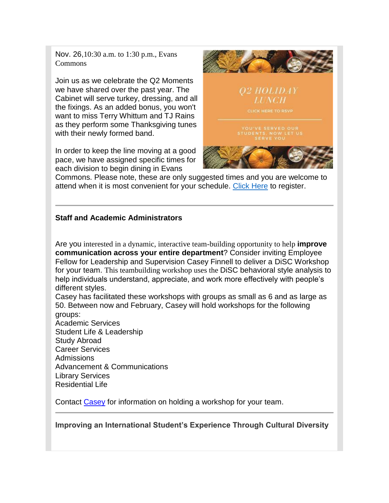Nov. 26,10:30 a.m. to 1:30 p.m., Evans Commons

Join us as we celebrate the Q2 Moments we have shared over the past year. The Cabinet will serve turkey, dressing, and all the fixings. As an added bonus, you won't want to miss Terry Whittum and TJ Rains as they perform some Thanksgiving tunes with their newly formed band.

In order to keep the line moving at a good pace, we have assigned specific times for each division to begin dining in Evans



Commons. Please note, these are only suggested times and you are welcome to attend when it is most convenient for your schedule. [Click Here](https://hes32-ctp.trendmicro.com/wis/clicktime/v1/query?url=https%3a%2f%2fcustapp.marketvolt.com%2flink%2fqBNB82TwYV%3fCM%3d1419417563%26X%3d70525052&umid=d50988e5-a1cb-49e1-8ae5-849e6f413c2e&auth=bc7ac43e330fa629f0cfb11786c85e83c10d06b8-7db92277cf4488a2c0016fccd11c8e21f17f630e) to register.

#### **Staff and Academic Administrators**

Are you interested in a dynamic, interactive team-building opportunity to help **improve communication across your entire department**? Consider inviting Employee Fellow for Leadership and Supervision Casey Finnell to deliver a DiSC Workshop for your team. This teambuilding workshop uses the DiSC behavioral style analysis to help individuals understand, appreciate, and work more effectively with people's different styles.

Casey has facilitated these workshops with groups as small as 6 and as large as 50. Between now and February, Casey will hold workshops for the following groups:

Academic Services Student Life & Leadership Study Abroad Career Services Admissions Advancement & Communications Library Services Residential Life

Contact [Casey](mailto:CFinnell@lindenwood.edu) for information on holding a workshop for your team.

**Improving an International Student's Experience Through Cultural Diversity**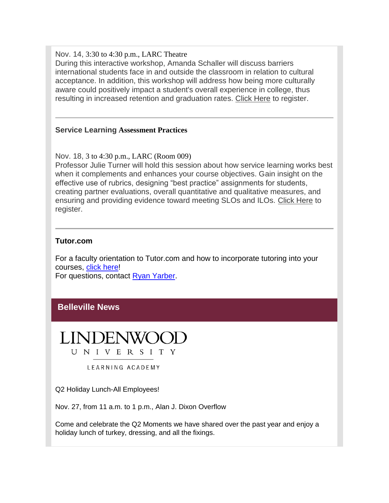Nov. 14, 3:30 to 4:30 p.m., LARC Theatre

During this interactive workshop, Amanda Schaller will discuss barriers international students face in and outside the classroom in relation to cultural acceptance. In addition, this workshop will address how being more culturally aware could positively impact a student's overall experience in college, thus resulting in increased retention and graduation rates. [Click Here](https://hes32-ctp.trendmicro.com/wis/clicktime/v1/query?url=https%3a%2f%2fcustapp.marketvolt.com%2flink%2fMr6YvFuoTh%3fCM%3d1419417563%26X%3d70525052&umid=d50988e5-a1cb-49e1-8ae5-849e6f413c2e&auth=bc7ac43e330fa629f0cfb11786c85e83c10d06b8-dc923fcde08925e3fdd9aebf40c53935aa3a1ffa) to register.

#### **Service Learning Assessment Practices**

Nov. 18, 3 to 4:30 p.m., LARC (Room 009) Professor Julie Turner will hold this session about how service learning works best when it complements and enhances your course objectives. Gain insight on the effective use of rubrics, designing "best practice" assignments for students, creating partner evaluations, overall quantitative and qualitative measures, and ensuring and providing evidence toward meeting SLOs and ILOs. [Click Here](https://hes32-ctp.trendmicro.com/wis/clicktime/v1/query?url=https%3a%2f%2fcustapp.marketvolt.com%2flink%2fldyKIqRRuf%3fCM%3d1419417563%26X%3d70525052&umid=d50988e5-a1cb-49e1-8ae5-849e6f413c2e&auth=bc7ac43e330fa629f0cfb11786c85e83c10d06b8-f14793fe6cc7d2cceb3affb60134b39dd42366a5) to register.

#### **Tutor.com**

For a faculty orientation to Tutor.com and how to incorporate tutoring into your courses, [click here!](https://hes32-ctp.trendmicro.com/wis/clicktime/v1/query?url=https%3a%2f%2fcustapp.marketvolt.com%2flink%2flLfuwpZEEl%3fCM%3d1419417563%26X%3d70525052&umid=d50988e5-a1cb-49e1-8ae5-849e6f413c2e&auth=bc7ac43e330fa629f0cfb11786c85e83c10d06b8-79611cae1105c83d3e13c911c05cc594a748b011)

For questions, contact [Ryan Yarber.](mailto:RYarber@lindenwood.edu)

#### **Belleville News**



LEARNING ACADEMY

Q2 Holiday Lunch-All Employees!

Nov. 27, from 11 a.m. to 1 p.m., Alan J. Dixon Overflow

Come and celebrate the Q2 Moments we have shared over the past year and enjoy a holiday lunch of turkey, dressing, and all the fixings.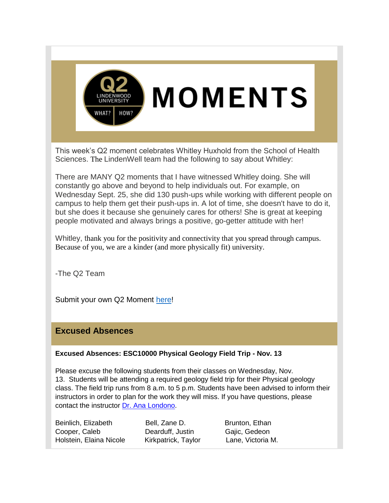

This week's Q2 moment celebrates Whitley Huxhold from the School of Health Sciences. The LindenWell team had the following to say about Whitley:

There are MANY Q2 moments that I have witnessed Whitley doing. She will constantly go above and beyond to help individuals out. For example, on Wednesday Sept. 25, she did 130 push-ups while working with different people on campus to help them get their push-ups in. A lot of time, she doesn't have to do it, but she does it because she genuinely cares for others! She is great at keeping people motivated and always brings a positive, go-getter attitude with her!

Whitley, thank you for the positivity and connectivity that you spread through campus. Because of you, we are a kinder (and more physically fit) university.

-The Q2 Team

Submit your own Q2 Moment [here!](https://hes32-ctp.trendmicro.com/wis/clicktime/v1/query?url=https%3a%2f%2fcustapp.marketvolt.com%2flink%2fIIdvMpn1x4%3fCM%3d1419417563%26X%3d70525052&umid=d50988e5-a1cb-49e1-8ae5-849e6f413c2e&auth=bc7ac43e330fa629f0cfb11786c85e83c10d06b8-668c68b0625555dfa18ea7fad6fa78f358d9de36)

#### **Excused Absences**

#### **Excused Absences: ESC10000 Physical Geology Field Trip - Nov. 13**

Please excuse the following students from their classes on Wednesday, Nov. 13. Students will be attending a required geology field trip for their Physical geology class. The field trip runs from 8 a.m. to 5 p.m. Students have been advised to inform their instructors in order to plan for the work they will miss. If you have questions, please contact the instructor [Dr. Ana Londono.](mailto:alondono@lindenwood.edu)

Beinlich, Elizabeth Bell, Zane D. Brunton, Ethan Cooper, Caleb **Dearduff, Justin Gajic, Gedeon** Holstein, Elaina Nicole Kirkpatrick, Taylor Lane, Victoria M.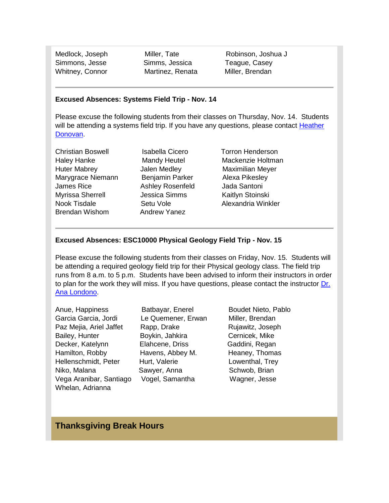Simmons, Jesse Simms, Jessica Teague, Casey Whitney, Connor **Martinez, Renata** Miller, Brendan

Medlock, Joseph Miller, Tate Robinson, Joshua J

#### **Excused Absences: Systems Field Trip - Nov. 14**

Please excuse the following students from their classes on Thursday, Nov. 14. Students will be attending a systems field trip. If you have any questions, please contact Heather [Donovan.](mailto:hdonovan@lindenwood.edu)

Christian Boswell Isabella Cicero Torron Henderson Haley Hanke Mandy Heutel Mackenzie Holtman Huter Mabrey Jalen Medley Maximilian Meyer Marygrace Niemann Benjamin Parker Alexa Pikesley James Rice Ashley Rosenfeld Jada Santoni Myrissa Sherrell **Mullish Chessica Simms** Kaitlyn Stoinski Nook Tisdale Setu Vole **Alexandria Winkler** Brendan Wishom Andrew Yanez

#### **Excused Absences: ESC10000 Physical Geology Field Trip - Nov. 15**

Please excuse the following students from their classes on Friday, Nov. 15. Students will be attending a required geology field trip for their Physical geology class. The field trip runs from 8 a.m. to 5 p.m. Students have been advised to inform their instructors in order to plan for the work they will miss. If you have questions, please contact the instructor [Dr.](mailto:alondono@lindenwood.edu)  [Ana Londono.](mailto:alondono@lindenwood.edu)

Anue, Happiness Batbayar, Enerel Boudet Nieto, Pablo Garcia Garcia, Jordi Le Quemener, Erwan Miller, Brendan Paz Mejia, Ariel Jaffet Rapp, Drake Rujawitz, Joseph Bailey, Hunter **Boykin, Jahkira** Cernicek, Mike Decker, Katelynn Elahcene, Driss Gaddini, Regan Hamilton, Robby Havens, Abbey M. Heaney, Thomas Hellenschmidt, Peter Hurt, Valerie Hurt, Valerie Lowenthal, Trey Niko, Malana Sawyer, Anna Schwob, Brian Vega Aranibar, Santiago Vogel, Samantha Wagner, Jesse Whelan, Adrianna

#### **Thanksgiving Break Hours**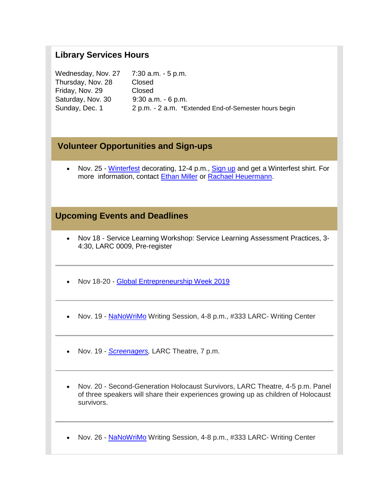#### **Library Services Hours**

Wednesday, Nov. 27 7:30 a.m. - 5 p.m. Thursday, Nov. 28 Closed Friday, Nov. 29 Closed Saturday, Nov. 30 9:30 a.m. - 6 p.m. Sunday, Dec. 1 2 p.m. - 2 a.m. \*Extended End-of-Semester hours begin

#### **Volunteer Opportunities and Sign-ups**

• Nov. 25 - [Winterfest](https://hes32-ctp.trendmicro.com/wis/clicktime/v1/query?url=https%3a%2f%2fcustapp.marketvolt.com%2flink%2fNg5qzyIUFE%3fCM%3d1419417563%26X%3d70525052&umid=d50988e5-a1cb-49e1-8ae5-849e6f413c2e&auth=bc7ac43e330fa629f0cfb11786c85e83c10d06b8-fa4b951340b0dcd9be238aea579501a8be591f9d) decorating, 12-4 p.m., [Sign up](https://hes32-ctp.trendmicro.com/wis/clicktime/v1/query?url=https%3a%2f%2fcustapp.marketvolt.com%2flink%2fkee753fwbB%3fCM%3d1419417563%26X%3d70525052&umid=d50988e5-a1cb-49e1-8ae5-849e6f413c2e&auth=bc7ac43e330fa629f0cfb11786c85e83c10d06b8-33135e604cf47e62093f7abf197ea7f43ac5f4c0) and get a Winterfest shirt. For more information, contact [Ethan Miller](mailto:emiller1@lindenwood.edu) or [Rachael Heuermann.](mailto:rheuermann@lindenwood.edu)

#### **Upcoming Events and Deadlines**

- Nov 18 Service Learning Workshop: Service Learning Assessment Practices, 3- 4:30, LARC 0009, Pre-register
- Nov 18-20 [Global Entrepreneurship Week 2019](https://hes32-ctp.trendmicro.com/wis/clicktime/v1/query?url=https%3a%2f%2fcustapp.marketvolt.com%2flink%2fxUATdNubqD%3fCM%3d1419417563%26X%3d70525052&umid=d50988e5-a1cb-49e1-8ae5-849e6f413c2e&auth=bc7ac43e330fa629f0cfb11786c85e83c10d06b8-b867b3c3234b378a8f4bf9df5897c909e32a7bbb)
- Nov. 19 [NaNoWriMo](https://hes32-ctp.trendmicro.com/wis/clicktime/v1/query?url=https%3a%2f%2fcustapp.marketvolt.com%2flink%2fyf242zi5Nq%3fCM%3d1419417563%26X%3d70525052&umid=d50988e5-a1cb-49e1-8ae5-849e6f413c2e&auth=bc7ac43e330fa629f0cfb11786c85e83c10d06b8-c8404731cb9e437cee0f768833b390b02ae48684) Writing Session, 4-8 p.m., #333 LARC- Writing Center
- Nov. 19 *[Screenagers,](https://hes32-ctp.trendmicro.com/wis/clicktime/v1/query?url=https%3a%2f%2fcustapp.marketvolt.com%2flink%2fvhNz2f1oh6%3fCM%3d1419417563%26X%3d70525052&umid=d50988e5-a1cb-49e1-8ae5-849e6f413c2e&auth=bc7ac43e330fa629f0cfb11786c85e83c10d06b8-a7cfc17100af3848a565da7330131dcf83f24118)* LARC Theatre, 7 p.m.
- Nov. 20 Second-Generation Holocaust Survivors, LARC Theatre, 4-5 p.m. Panel of three speakers will share their experiences growing up as children of Holocaust survivors.
- Nov. 26 [NaNoWriMo](https://hes32-ctp.trendmicro.com/wis/clicktime/v1/query?url=https%3a%2f%2fcustapp.marketvolt.com%2flink%2fyf242zi5Nq%3fCM%3d1419417563%26X%3d70525052&umid=d50988e5-a1cb-49e1-8ae5-849e6f413c2e&auth=bc7ac43e330fa629f0cfb11786c85e83c10d06b8-c8404731cb9e437cee0f768833b390b02ae48684) Writing Session, 4-8 p.m., #333 LARC- Writing Center